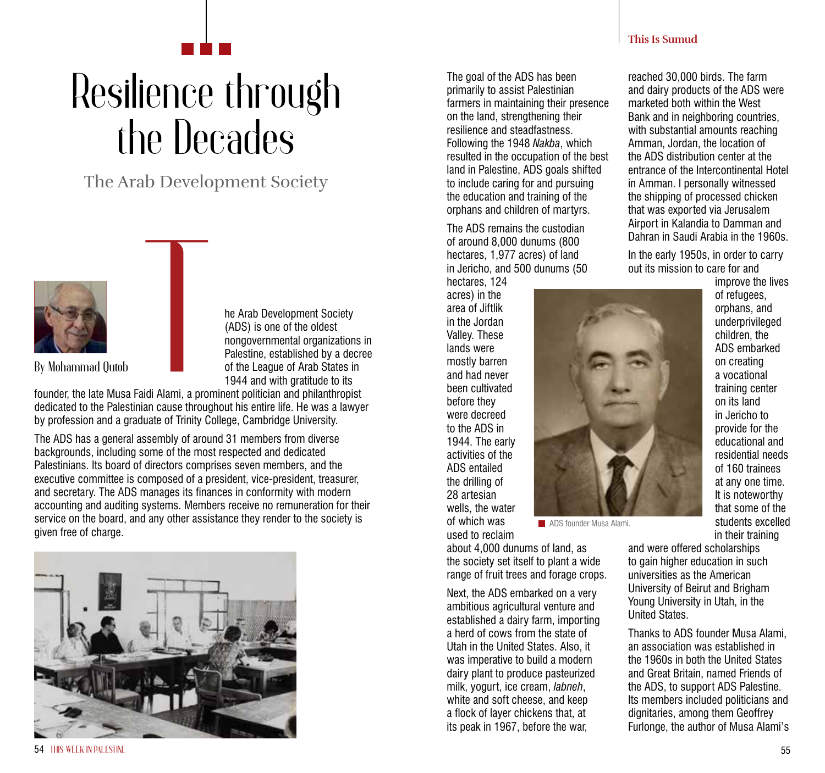## Resilience through the Decades

The Arab Development Society



he Arab Development Society (ADS) is one of the oldest nongovernmental organizations in Palestine, established by a decree of the League of Arab States in 1944 and with gratitude to its

founder, the late Musa Faidi Alami, a prominent politician and philanthropist dedicated to the Palestinian cause throughout his entire life. He was a lawyer by profession and a graduate of Trinity College, Cambridge University.

The ADS has a general assembly of around 31 members from diverse backgrounds, including some of the most respected and dedicated Palestinians. Its board of directors comprises seven members, and the executive committee is composed of a president, vice-president, treasurer, and secretary. The ADS manages its finances in conformity with modern accounting and auditing systems. Members receive no remuneration for their service on the board, and any other assistance they render to the society is given free of charge.



The goal of the ADS has been primarily to assist Palestinian farmers in maintaining their presence on the land, strengthening their resilience and steadfastness. Following the 1948 *Nakba*, which resulted in the occupation of the best land in Palestine, ADS goals shifted to include caring for and pursuing the education and training of the orphans and children of martyrs.

The ADS remains the custodian of around 8,000 dunums (800 hectares, 1,977 acres) of land in Jericho, and 500 dunums (50

hectares, 124 acres) in the area of Jiftlik in the Jordan Valley. These lands were mostly barren and had never been cultivated before they were decreed to the ADS in 1944. The early activities of the ADS entailed the drilling of 28 artesian wells, the water of which was used to reclaim

about 4,000 dunums of land, as the society set itself to plant a wide range of fruit trees and forage crops.

**ADS** founder Musa Alami.

Next, the ADS embarked on a very ambitious agricultural venture and established a dairy farm, importing a herd of cows from the state of Utah in the United States. Also, it was imperative to build a modern dairy plant to produce pasteurized milk, yogurt, ice cream, *labneh*, white and soft cheese, and keep a flock of layer chickens that, at its peak in 1967, before the war,

**This Is Sumud**

reached 30,000 birds. The farm and dairy products of the ADS were marketed both within the West Bank and in neighboring countries, with substantial amounts reaching Amman, Jordan, the location of the ADS distribution center at the entrance of the Intercontinental Hotel in Amman. I personally witnessed the shipping of processed chicken that was exported via Jerusalem Airport in Kalandia to Damman and Dahran in Saudi Arabia in the 1960s.

In the early 1950s, in order to carry out its mission to care for and

improve the lives of refugees, orphans, and underprivileged children, the ADS embarked on creating a vocational training center on its land in Jericho to provide for the educational and residential needs of 160 trainees at any one time. It is noteworthy that some of the students excelled in their training

and were offered scholarships to gain higher education in such universities as the American University of Beirut and Brigham Young University in Utah, in the United States.

Thanks to ADS founder Musa Alami, an association was established in the 1960s in both the United States and Great Britain, named Friends of the ADS, to support ADS Palestine. Its members included politicians and dignitaries, among them Geoffrey Furlonge, the author of Musa Alami's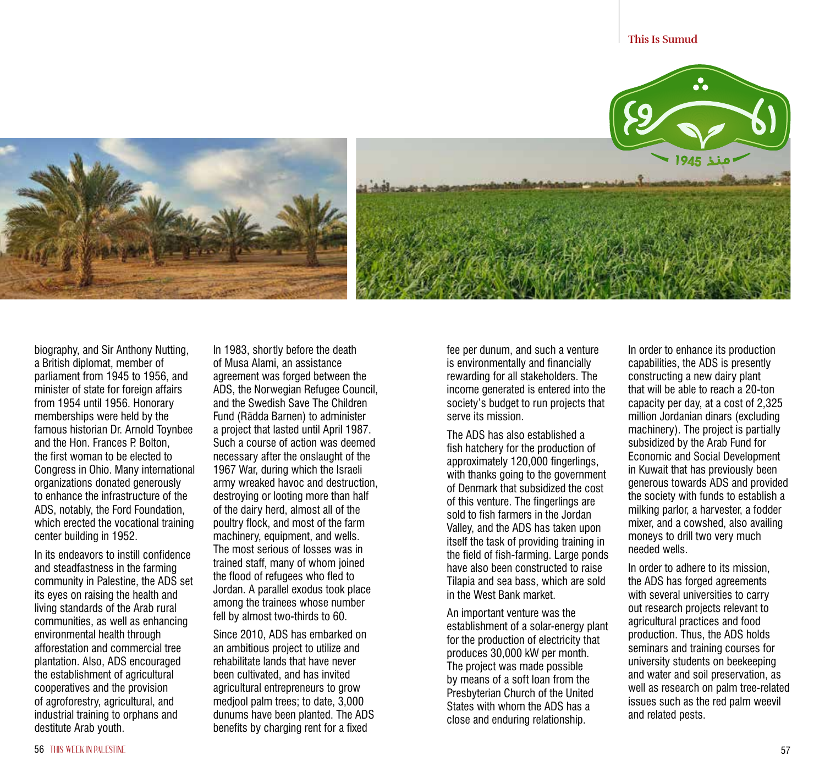

biography, and Sir Anthony Nutting, a British diplomat, member of parliament from 1945 to 1956, and minister of state for foreign affairs from 1954 until 1956. Honorary memberships were held by the famous historian Dr. Arnold Toynbee and the Hon. Frances P. Bolton, the first woman to be elected to Congress in Ohio. Many international organizations donated generously to enhance the infrastructure of the ADS, notably, the Ford Foundation, which erected the vocational training center building in 1952.

In its endeavors to instill confidence and steadfastness in the farming community in Palestine, the ADS set its eyes on raising the health and living standards of the Arab rural communities, as well as enhancing environmental health through afforestation and commercial tree plantation. Also, ADS encouraged the establishment of agricultural cooperatives and the provision of agroforestry, agricultural, and industrial training to orphans and destitute Arab youth.

In 1983, shortly before the death of Musa Alami, an assistance agreement was forged between the ADS, the Norwegian Refugee Council, and the Swedish Save The Children Fund (Rädda Barnen) to administer a project that lasted until April 1987. Such a course of action was deemed necessary after the onslaught of the 1967 War, during which the Israeli army wreaked havoc and destruction, destroying or looting more than half of the dairy herd, almost all of the poultry flock, and most of the farm machinery, equipment, and wells. The most serious of losses was in trained staff, many of whom joined the flood of refugees who fled to Jordan. A parallel exodus took place among the trainees whose number fell by almost two-thirds to 60.

Since 2010, ADS has embarked on an ambitious project to utilize and rehabilitate lands that have never been cultivated, and has invited agricultural entrepreneurs to grow medjool palm trees; to date, 3,000 dunums have been planted. The ADS benefits by charging rent for a fixed

fee per dunum, and such a venture is environmentally and financially rewarding for all stakeholders. The income generated is entered into the society's budget to run projects that serve its mission.

The ADS has also established a fish hatchery for the production of approximately 120,000 fingerlings, with thanks going to the government of Denmark that subsidized the cost of this venture. The fingerlings are sold to fish farmers in the Jordan Valley, and the ADS has taken upon itself the task of providing training in the field of fish-farming. Large ponds have also been constructed to raise Tilapia and sea bass, which are sold in the West Bank market.

An important venture was the establishment of a solar-energy plant for the production of electricity that produces 30,000 kW per month. The project was made possible by means of a soft loan from the Presbyterian Church of the United States with whom the ADS has a close and enduring relationship.

In order to enhance its production capabilities, the ADS is presently constructing a new dairy plant that will be able to reach a 20-ton capacity per day, at a cost of 2,325 million Jordanian dinars (excluding machinery). The project is partially subsidized by the Arab Fund for Economic and Social Development in Kuwait that has previously been generous towards ADS and provided the society with funds to establish a milking parlor, a harvester, a fodder mixer, and a cowshed, also availing moneys to drill two very much needed wells.

In order to adhere to its mission, the ADS has forged agreements with several universities to carry out research projects relevant to agricultural practices and food production. Thus, the ADS holds seminars and training courses for university students on beekeeping and water and soil preservation, as well as research on palm tree-related issues such as the red palm weevil and related pests.